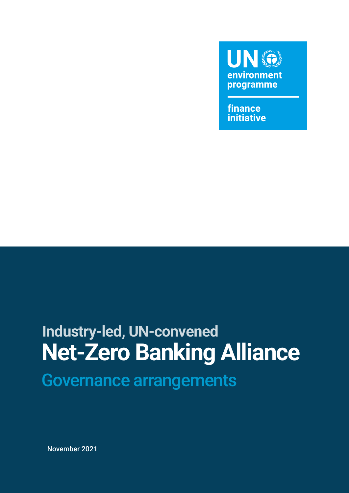

finance **initiative** 

### **Net-Zero Banking Alliance** Governance arrangements **Industry-led, UN-convened**

November 2021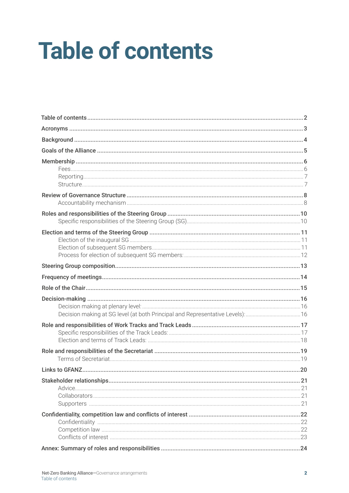## **Table of contents**

| Decision making at SG level (at both Principal and Representative Levels):16 |  |
|------------------------------------------------------------------------------|--|
|                                                                              |  |
|                                                                              |  |
|                                                                              |  |
|                                                                              |  |
|                                                                              |  |
|                                                                              |  |
|                                                                              |  |
|                                                                              |  |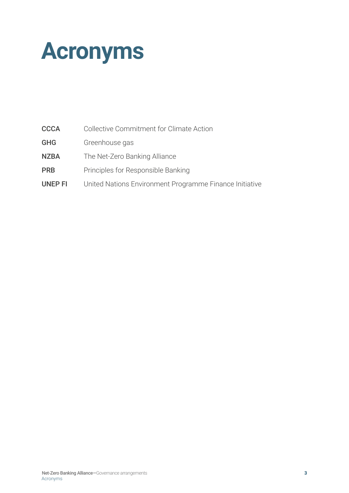<span id="page-2-0"></span>

| <b>CCCA</b> | Collective Commitment for Climate Action |  |  |
|-------------|------------------------------------------|--|--|
|             |                                          |  |  |

- GHG Greenhouse gas
- NZBA The Net-Zero Banking Alliance
- **PRB** Principles for Responsible Banking
- UNEP FI United Nations Environment Programme Finance Initiative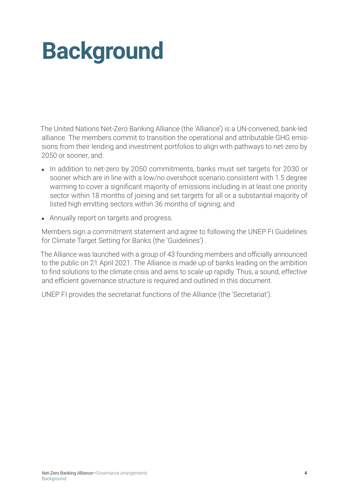## <span id="page-3-0"></span>**Background**

The United Nations Net-Zero Banking Alliance (the 'Alliance') is a UN-convened, bank-led alliance. The members commit to transition the operational and attributable GHG emissions from their lending and investment portfolios to align with pathways to net-zero by 2050 or sooner, and:

- In addition to net-zero by 2050 commitments, banks must set targets for 2030 or sooner which are in line with a low/no overshoot scenario consistent with 1.5 degree warming to cover a significant majority of emissions including in at least one priority sector within 18 months of joining and set targets for all or a substantial majority of listed high emitting sectors within 36 months of signing; and
- Annually report on targets and progress.

Members sign a commitment statement and agree to following the UNEP FI Guidelines for Climate Target Setting for Banks (the 'Guidelines') .

The Alliance was launched with a group of 43 founding members and officially announced to the public on 21 April 2021. The Alliance is made up of banks leading on the ambition to find solutions to the climate crisis and aims to scale up rapidly. Thus, a sound, effective and efficient governance structure is required and outlined in this document.

UNEP FI provides the secretariat functions of the Alliance (the 'Secretariat').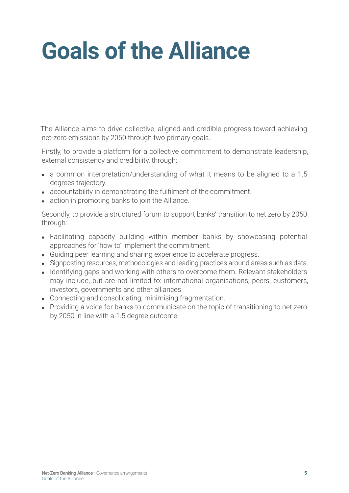## <span id="page-4-0"></span>**Goals of the Alliance**

The Alliance aims to drive collective, aligned and credible progress toward achieving net-zero emissions by 2050 through two primary goals.

Firstly, to provide a platform for a collective commitment to demonstrate leadership, external consistency and credibility, through:

- a common interpretation/understanding of what it means to be aligned to a 1.5 degrees trajectory.
- accountability in demonstrating the fulfilment of the commitment.
- action in promoting banks to join the Alliance.

Secondly, to provide a structured forum to support banks' transition to net zero by 2050 through:

- Facilitating capacity building within member banks by showcasing potential approaches for 'how to' implement the commitment.
- Guiding peer learning and sharing experience to accelerate progress.
- Signposting resources, methodologies and leading practices around areas such as data.
- Identifying gaps and working with others to overcome them. Relevant stakeholders may include, but are not limited to: international organisations, peers, customers, investors, governments and other alliances.
- Connecting and consolidating, minimising fragmentation.
- Providing a voice for banks to communicate on the topic of transitioning to net zero by 2050 in line with a 1.5 degree outcome.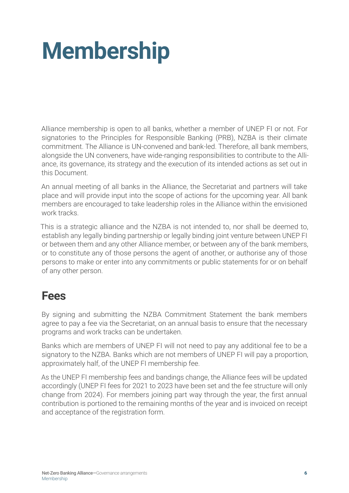## <span id="page-5-0"></span>**Membership**

Alliance membership is open to all banks, whether a member of UNEP FI or not. For signatories to the Principles for Responsible Banking (PRB), NZBA is their climate commitment. The Alliance is UN-convened and bank-led. Therefore, all bank members, alongside the UN conveners, have wide-ranging responsibilities to contribute to the Alliance, its governance, its strategy and the execution of its intended actions as set out in this Document.

An annual meeting of all banks in the Alliance, the Secretariat and partners will take place and will provide input into the scope of actions for the upcoming year. All bank members are encouraged to take leadership roles in the Alliance within the envisioned work tracks.

This is a strategic alliance and the NZBA is not intended to, nor shall be deemed to, establish any legally binding partnership or legally binding joint venture between UNEP FI or between them and any other Alliance member, or between any of the bank members, or to constitute any of those persons the agent of another, or authorise any of those persons to make or enter into any commitments or public statements for or on behalf of any other person.

#### **Fees**

By signing and submitting the NZBA Commitment Statement the bank members agree to pay a fee via the Secretariat, on an annual basis to ensure that the necessary programs and work tracks can be undertaken.

Banks which are members of UNEP FI will not need to pay any additional fee to be a signatory to the NZBA. Banks which are not members of UNEP FI will pay a proportion, approximately half, of the UNEP FI membership fee.

As the UNEP FI membership fees and bandings change, the Alliance fees will be updated accordingly (UNEP FI fees for 2021 to 2023 have been set and the fee structure will only change from 2024). For members joining part way through the year, the first annual contribution is portioned to the remaining months of the year and is invoiced on receipt and acceptance of the registration form.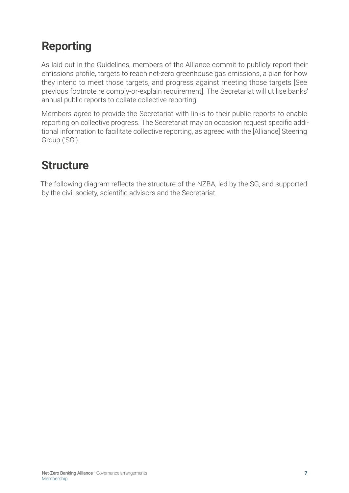#### <span id="page-6-0"></span>**Reporting**

As laid out in the Guidelines, members of the Alliance commit to publicly report their emissions profile, targets to reach net-zero greenhouse gas emissions, a plan for how they intend to meet those targets, and progress against meeting those targets [See previous footnote re comply-or-explain requirement]. The Secretariat will utilise banks' annual public reports to collate collective reporting.

Members agree to provide the Secretariat with links to their public reports to enable reporting on collective progress. The Secretariat may on occasion request specific additional information to facilitate collective reporting, as agreed with the [Alliance] Steering Group ('SG').

#### **Structure**

The following diagram reflects the structure of the NZBA, led by the SG, and supported by the civil society, scientific advisors and the Secretariat.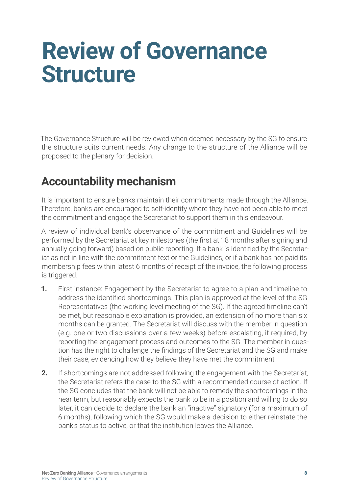### <span id="page-7-0"></span>**Review of Governance Structure**

The Governance Structure will be reviewed when deemed necessary by the SG to ensure the structure suits current needs. Any change to the structure of the Alliance will be proposed to the plenary for decision.

#### **Accountability mechanism**

It is important to ensure banks maintain their commitments made through the Alliance. Therefore, banks are encouraged to self-identify where they have not been able to meet the commitment and engage the Secretariat to support them in this endeavour.

A review of individual bank's observance of the commitment and Guidelines will be performed by the Secretariat at key milestones (the first at 18 months after signing and annually going forward) based on public reporting. If a bank is identified by the Secretariat as not in line with the commitment text or the Guidelines, or if a bank has not paid its membership fees within latest 6 months of receipt of the invoice, the following process is triggered.

- **1.** First instance: Engagement by the Secretariat to agree to a plan and timeline to address the identified shortcomings. This plan is approved at the level of the SG Representatives (the working level meeting of the SG). If the agreed timeline can't be met, but reasonable explanation is provided, an extension of no more than six months can be granted. The Secretariat will discuss with the member in question (e.g. one or two discussions over a few weeks) before escalating, if required, by reporting the engagement process and outcomes to the SG. The member in question has the right to challenge the findings of the Secretariat and the SG and make their case, evidencing how they believe they have met the commitment
- **2.** If shortcomings are not addressed following the engagement with the Secretariat, the Secretariat refers the case to the SG with a recommended course of action. If the SG concludes that the bank will not be able to remedy the shortcomings in the near term, but reasonably expects the bank to be in a position and willing to do so later, it can decide to declare the bank an "inactive" signatory (for a maximum of 6 months), following which the SG would make a decision to either reinstate the bank's status to active, or that the institution leaves the Alliance.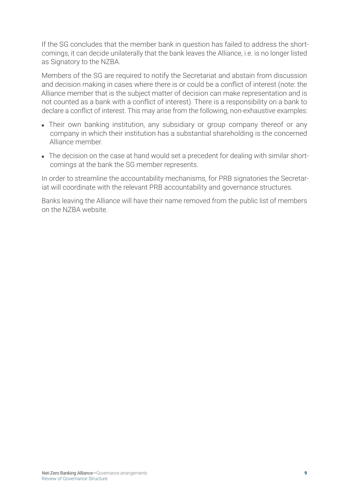If the SG concludes that the member bank in question has failed to address the shortcomings, it can decide unilaterally that the bank leaves the Alliance, i.e. is no longer listed as Signatory to the NZBA.

Members of the SG are required to notify the Secretariat and abstain from discussion and decision making in cases where there is or could be a conflict of interest (note: the Alliance member that is the subject matter of decision can make representation and is not counted as a bank with a conflict of interest). There is a responsibility on a bank to declare a conflict of interest. This may arise from the following, non-exhaustive examples:

- Their own banking institution, any subsidiary or group company thereof or any company in which their institution has a substantial shareholding is the concerned Alliance member.
- The decision on the case at hand would set a precedent for dealing with similar shortcomings at the bank the SG member represents.

In order to streamline the accountability mechanisms, for PRB signatories the Secretariat will coordinate with the relevant PRB accountability and governance structures.

Banks leaving the Alliance will have their name removed from the public list of members on the NZBA website.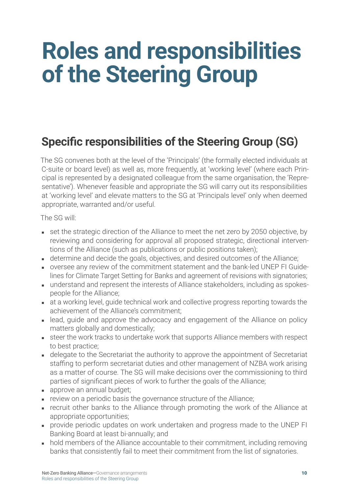## <span id="page-9-0"></span>**Roles and responsibilities of the Steering Group**

### **Specific responsibilities of the Steering Group (SG)**

The SG convenes both at the level of the 'Principals' (the formally elected individuals at C-suite or board level) as well as, more frequently, at 'working level' (where each Principal is represented by a designated colleague from the same organisation, the 'Representative'). Whenever feasible and appropriate the SG will carry out its responsibilities at 'working level' and elevate matters to the SG at 'Principals level' only when deemed appropriate, warranted and/or useful.

The SG will:

- set the strategic direction of the Alliance to meet the net zero by 2050 objective, by reviewing and considering for approval all proposed strategic, directional interventions of the Alliance (such as publications or public positions taken);
- determine and decide the goals, objectives, and desired outcomes of the Alliance;
- oversee any review of the commitment statement and the bank-led UNEP FI Guidelines for Climate Target Setting for Banks and agreement of revisions with signatories;
- understand and represent the interests of Alliance stakeholders, including as spokespeople for the Alliance;
- at a working level, guide technical work and collective progress reporting towards the achievement of the Alliance's commitment;
- lead, guide and approve the advocacy and engagement of the Alliance on policy matters globally and domestically;
- steer the work tracks to undertake work that supports Alliance members with respect to best practice;
- delegate to the Secretariat the authority to approve the appointment of Secretariat staffing to perform secretariat duties and other management of NZBA work arising as a matter of course. The SG will make decisions over the commissioning to third parties of significant pieces of work to further the goals of the Alliance;
- approve an annual budget;
- review on a periodic basis the governance structure of the Alliance;
- recruit other banks to the Alliance through promoting the work of the Alliance at appropriate opportunities;
- provide periodic updates on work undertaken and progress made to the UNEP FI Banking Board at least bi-annually; and
- hold members of the Alliance accountable to their commitment, including removing banks that consistently fail to meet their commitment from the list of signatories.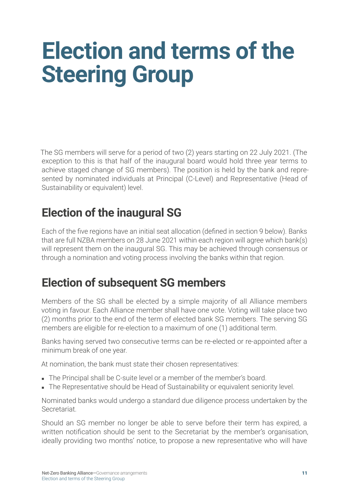## <span id="page-10-0"></span>**Election and terms of the Steering Group**

The SG members will serve for a period of two (2) years starting on 22 July 2021. (The exception to this is that half of the inaugural board would hold three year terms to achieve staged change of SG members). The position is held by the bank and represented by nominated individuals at Principal (C-Level) and Representative (Head of Sustainability or equivalent) level.

#### **Election of the inaugural SG**

Each of the five regions have an initial seat allocation (defined in section 9 below). Banks that are full NZBA members on 28 June 2021 within each region will agree which bank(s) will represent them on the inaugural SG. This may be achieved through consensus or through a nomination and voting process involving the banks within that region.

#### **Election of subsequent SG members**

Members of the SG shall be elected by a simple majority of all Alliance members voting in favour. Each Alliance member shall have one vote. Voting will take place two (2) months prior to the end of the term of elected bank SG members. The serving SG members are eligible for re-election to a maximum of one (1) additional term.

Banks having served two consecutive terms can be re-elected or re-appointed after a minimum break of one year.

At nomination, the bank must state their chosen representatives:

- The Principal shall be C-suite level or a member of the member's board.
- The Representative should be Head of Sustainability or equivalent seniority level.

Nominated banks would undergo a standard due diligence process undertaken by the Secretariat.

Should an SG member no longer be able to serve before their term has expired, a written notification should be sent to the Secretariat by the member's organisation, ideally providing two months' notice, to propose a new representative who will have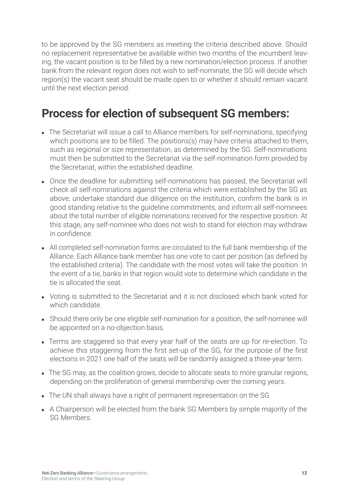<span id="page-11-0"></span>to be approved by the SG members as meeting the criteria described above. Should no replacement representative be available within two months of the incumbent leaving, the vacant position is to be filled by a new nomination/election process. If another bank from the relevant region does not wish to self-nominate, the SG will decide which region(s) the vacant seat should be made open to or whether it should remain vacant until the next election period.

#### **Process for election of subsequent SG members:**

- The Secretariat will issue a call to Alliance members for self-nominations, specifying which positions are to be filled. The positions(s) may have criteria attached to them, such as regional or size representation, as determined by the SG. Self-nominations must then be submitted to the Secretariat via the self-nomination form provided by the Secretariat, within the established deadline.
- Once the deadline for submitting self-nominations has passed, the Secretariat will check all self-nominations against the criteria which were established by the SG as above, undertake standard due diligence on the institution, confirm the bank is in good standing relative to the guideline commitments, and inform all self-nominees about the total number of eligible nominations received for the respective position. At this stage, any self-nominee who does not wish to stand for election may withdraw in confidence.
- All completed self-nomination forms are circulated to the full bank membership of the Alliance. Each Alliance bank member has one vote to cast per position (as defined by the established criteria). The candidate with the most votes will take the position. In the event of a tie, banks in that region would vote to determine which candidate in the tie is allocated the seat.
- Voting is submitted to the Secretariat and it is not disclosed which bank voted for which candidate.
- Should there only be one eligible self-nomination for a position, the self-nominee will be appointed on a no-objection basis.
- Terms are staggered so that every year half of the seats are up for re-election. To achieve this staggering from the first set-up of the SG, for the purpose of the first elections in 2021 one half of the seats will be randomly assigned a three-year term.
- The SG may, as the coalition grows, decide to allocate seats to more granular regions, depending on the proliferation of general membership over the coming years.
- The UN shall always have a right of permanent representation on the SG.
- A Chairperson will be elected from the bank SG Members by simple majority of the SG Members.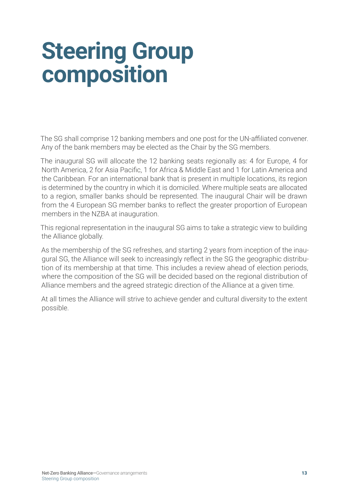### <span id="page-12-0"></span>**Steering Group composition**

The SG shall comprise 12 banking members and one post for the UN-affiliated convener. Any of the bank members may be elected as the Chair by the SG members.

The inaugural SG will allocate the 12 banking seats regionally as: 4 for Europe, 4 for North America, 2 for Asia Pacific, 1 for Africa & Middle East and 1 for Latin America and the Caribbean. For an international bank that is present in multiple locations, its region is determined by the country in which it is domiciled. Where multiple seats are allocated to a region, smaller banks should be represented. The inaugural Chair will be drawn from the 4 European SG member banks to reflect the greater proportion of European members in the NZBA at inauguration.

This regional representation in the inaugural SG aims to take a strategic view to building the Alliance globally.

As the membership of the SG refreshes, and starting 2 years from inception of the inaugural SG, the Alliance will seek to increasingly reflect in the SG the geographic distribution of its membership at that time. This includes a review ahead of election periods, where the composition of the SG will be decided based on the regional distribution of Alliance members and the agreed strategic direction of the Alliance at a given time.

At all times the Alliance will strive to achieve gender and cultural diversity to the extent possible.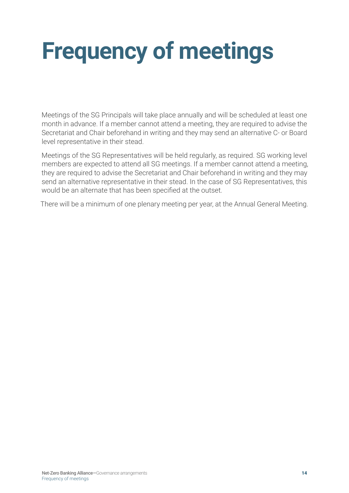# <span id="page-13-0"></span>**Frequency of meetings**

Meetings of the SG Principals will take place annually and will be scheduled at least one month in advance. If a member cannot attend a meeting, they are required to advise the Secretariat and Chair beforehand in writing and they may send an alternative C- or Board level representative in their stead.

Meetings of the SG Representatives will be held regularly, as required. SG working level members are expected to attend all SG meetings. If a member cannot attend a meeting, they are required to advise the Secretariat and Chair beforehand in writing and they may send an alternative representative in their stead. In the case of SG Representatives, this would be an alternate that has been specified at the outset.

There will be a minimum of one plenary meeting per year, at the Annual General Meeting.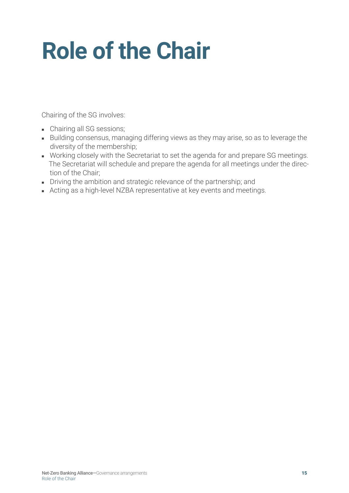## <span id="page-14-0"></span>**Role of the Chair**

Chairing of the SG involves:

- Chairing all SG sessions;
- Building consensus, managing differing views as they may arise, so as to leverage the diversity of the membership;
- Working closely with the Secretariat to set the agenda for and prepare SG meetings. The Secretariat will schedule and prepare the agenda for all meetings under the direction of the Chair;
- Driving the ambition and strategic relevance of the partnership; and
- Acting as a high-level NZBA representative at key events and meetings.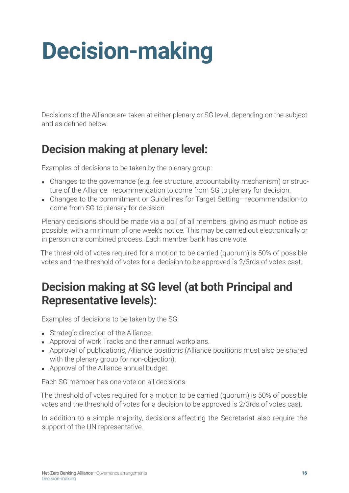## <span id="page-15-0"></span>**Decision-making**

Decisions of the Alliance are taken at either plenary or SG level, depending on the subject and as defined below.

#### **Decision making at plenary level:**

Examples of decisions to be taken by the plenary group:

- Changes to the governance (e.g. fee structure, accountability mechanism) or structure of the Alliance—recommendation to come from SG to plenary for decision.
- Changes to the commitment or Guidelines for Target Setting–recommendation to come from SG to plenary for decision.

Plenary decisions should be made via a poll of all members, giving as much notice as possible, with a minimum of one week's notice. This may be carried out electronically or in person or a combined process. Each member bank has one vote.

The threshold of votes required for a motion to be carried (quorum) is 50% of possible votes and the threshold of votes for a decision to be approved is 2/3rds of votes cast.

#### **Decision making at SG level (at both Principal and Representative levels):**

Examples of decisions to be taken by the SG:

- Strategic direction of the Alliance.
- Approval of work Tracks and their annual workplans.
- Approval of publications, Alliance positions (Alliance positions must also be shared with the plenary group for non-objection).
- Approval of the Alliance annual budget.

Each SG member has one vote on all decisions.

The threshold of votes required for a motion to be carried (quorum) is 50% of possible votes and the threshold of votes for a decision to be approved is 2/3rds of votes cast.

In addition to a simple majority, decisions affecting the Secretariat also require the support of the UN representative.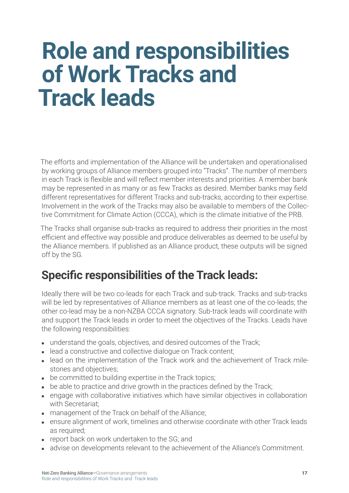### <span id="page-16-0"></span>**Role and responsibilities of Work Tracks and Track leads**

The efforts and implementation of the Alliance will be undertaken and operationalised by working groups of Alliance members grouped into "Tracks". The number of members in each Track is flexible and will reflect member interests and priorities. A member bank may be represented in as many or as few Tracks as desired. Member banks may field different representatives for different Tracks and sub-tracks, according to their expertise. Involvement in the work of the Tracks may also be available to members of the Collective Commitment for Climate Action (CCCA), which is the climate initiative of the PRB.

The Tracks shall organise sub-tracks as required to address their priorities in the most efficient and effective way possible and produce deliverables as deemed to be useful by the Alliance members. If published as an Alliance product, these outputs will be signed off by the SG.

#### **Specific responsibilities of the Track leads:**

Ideally there will be two co-leads for each Track and sub-track. Tracks and sub-tracks will be led by representatives of Alliance members as at least one of the co-leads; the other co-lead may be a non-NZBA CCCA signatory. Sub-track leads will coordinate with and support the Track leads in order to meet the objectives of the Tracks. Leads have the following responsibilities:

- understand the goals, objectives, and desired outcomes of the Track;
- lead a constructive and collective dialogue on Track content;
- lead on the implementation of the Track work and the achievement of Track milestones and objectives;
- be committed to building expertise in the Track topics;
- be able to practice and drive growth in the practices defined by the Track;
- engage with collaborative initiatives which have similar objectives in collaboration with Secretariat;
- management of the Track on behalf of the Alliance;
- ensure alignment of work, timelines and otherwise coordinate with other Track leads as required;
- report back on work undertaken to the SG; and
- advise on developments relevant to the achievement of the Alliance's Commitment.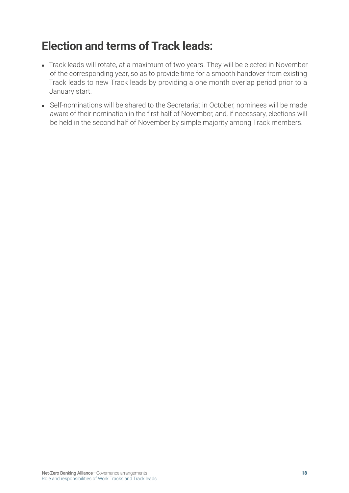#### <span id="page-17-0"></span>**Election and terms of Track leads:**

- Track leads will rotate, at a maximum of two years. They will be elected in November of the corresponding year, so as to provide time for a smooth handover from existing Track leads to new Track leads by providing a one month overlap period prior to a January start.
- Self-nominations will be shared to the Secretariat in October, nominees will be made aware of their nomination in the first half of November, and, if necessary, elections will be held in the second half of November by simple majority among Track members.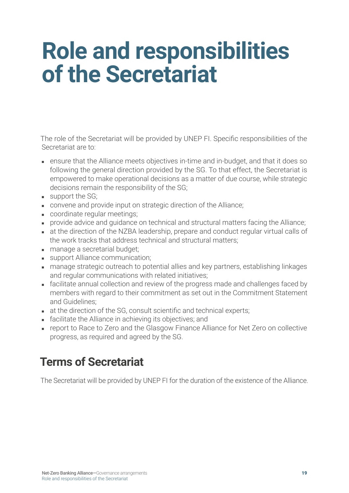### <span id="page-18-0"></span>**Role and responsibilities of the Secretariat**

The role of the Secretariat will be provided by UNEP FI. Specific responsibilities of the Secretariat are to:

- ensure that the Alliance meets objectives in-time and in-budget, and that it does so following the general direction provided by the SG. To that effect, the Secretariat is empowered to make operational decisions as a matter of due course, while strategic decisions remain the responsibility of the SG;
- support the SG:
- convene and provide input on strategic direction of the Alliance;
- coordinate regular meetings;
- provide advice and quidance on technical and structural matters facing the Alliance;
- at the direction of the NZBA leadership, prepare and conduct regular virtual calls of the work tracks that address technical and structural matters;
- manage a secretarial budget;
- support Alliance communication;
- manage strategic outreach to potential allies and key partners, establishing linkages and regular communications with related initiatives;
- facilitate annual collection and review of the progress made and challenges faced by members with regard to their commitment as set out in the Commitment Statement and Guidelines;
- at the direction of the SG, consult scientific and technical experts;
- facilitate the Alliance in achieving its objectives; and
- report to Race to Zero and the Glasgow Finance Alliance for Net Zero on collective progress, as required and agreed by the SG.

#### **Terms of Secretariat**

The Secretariat will be provided by UNEP FI for the duration of the existence of the Alliance.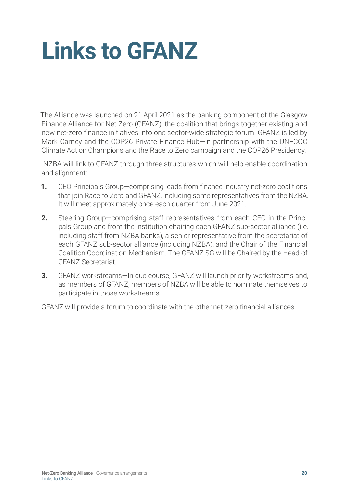## <span id="page-19-0"></span>**Links to GFANZ**

The Alliance was launched on 21 April 2021 as the banking component of the Glasgow Finance Alliance for Net Zero (GFANZ), the coalition that brings together existing and new net-zero finance initiatives into one sector-wide strategic forum. GFANZ is led by Mark Carney and the COP26 Private Finance Hub—in partnership with the UNFCCC Climate Action Champions and the Race to Zero campaign and the COP26 Presidency.

 NZBA will link to GFANZ through three structures which will help enable coordination and alignment:

- **1.** CEO Principals Group—comprising leads from finance industry net-zero coalitions that join Race to Zero and GFANZ, including some representatives from the NZBA. It will meet approximately once each quarter from June 2021.
- **2.** Steering Group—comprising staff representatives from each CEO in the Principals Group and from the institution chairing each GFANZ sub-sector alliance (i.e. including staff from NZBA banks), a senior representative from the secretariat of each GFANZ sub-sector alliance (including NZBA), and the Chair of the Financial Coalition Coordination Mechanism. The GFANZ SG will be Chaired by the Head of GFANZ Secretariat.
- **3.** GFANZ workstreams—In due course, GFANZ will launch priority workstreams and, as members of GFANZ, members of NZBA will be able to nominate themselves to participate in those workstreams.

GFANZ will provide a forum to coordinate with the other net-zero financial alliances.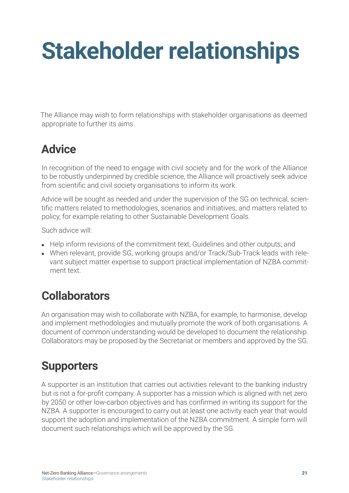## <span id="page-20-0"></span>**Stakeholder relationships**

The Alliance may wish to form relationships with stakeholder organisations as deemed appropriate to further its aims.

#### **Advice**

In recognition of the need to engage with civil society and for the work of the Alliance to be robustly underpinned by credible science, the Alliance will proactively seek advice from scientific and civil society organisations to inform its work.

Advice will be sought as needed and under the supervision of the SG on technical, scientific matters related to methodologies, scenarios and initiatives, and matters related to policy, for example relating to other Sustainable Development Goals.

Such advice will:

- Help inform revisions of the commitment text, Guidelines and other outputs; and
- When relevant, provide SG, working groups and/or Track/Sub-Track leads with relevant subject matter expertise to support practical implementation of NZBA commitment text.

#### **Collaborators**

An organisation may wish to collaborate with NZBA, for example, to harmonise, develop and implement methodologies and mutually promote the work of both organisations. A document of common understanding would be developed to document the relationship. Collaborators may be proposed by the Secretariat or members and approved by the SG.

#### **Supporters**

A supporter is an institution that carries out activities relevant to the banking industry but is not a for-profit company. A supporter has a mission which is aligned with net zero by 2050 or other low-carbon objectives and has confirmed in writing its support for the NZBA. A supporter is encouraged to carry out at least one activity each year that would support the adoption and implementation of the NZBA commitment. A simple form will document such relationships which will be approved by the SG.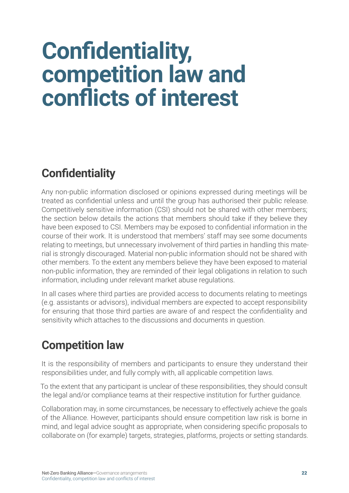### <span id="page-21-0"></span>**Confidentiality, competition law and conflicts of interest**

### **Confidentiality**

Any non-public information disclosed or opinions expressed during meetings will be treated as confidential unless and until the group has authorised their public release. Competitively sensitive information (CSI) should not be shared with other members; the section below details the actions that members should take if they believe they have been exposed to CSI. Members may be exposed to confidential information in the course of their work. It is understood that members' staff may see some documents relating to meetings, but unnecessary involvement of third parties in handling this material is strongly discouraged. Material non-public information should not be shared with other members. To the extent any members believe they have been exposed to material non-public information, they are reminded of their legal obligations in relation to such information, including under relevant market abuse regulations.

In all cases where third parties are provided access to documents relating to meetings (e.g. assistants or advisors), individual members are expected to accept responsibility for ensuring that those third parties are aware of and respect the confidentiality and sensitivity which attaches to the discussions and documents in question.

#### **Competition law**

It is the responsibility of members and participants to ensure they understand their responsibilities under, and fully comply with, all applicable competition laws.

To the extent that any participant is unclear of these responsibilities, they should consult the legal and/or compliance teams at their respective institution for further guidance.

Collaboration may, in some circumstances, be necessary to effectively achieve the goals of the Alliance. However, participants should ensure competition law risk is borne in mind, and legal advice sought as appropriate, when considering specific proposals to collaborate on (for example) targets, strategies, platforms, projects or setting standards.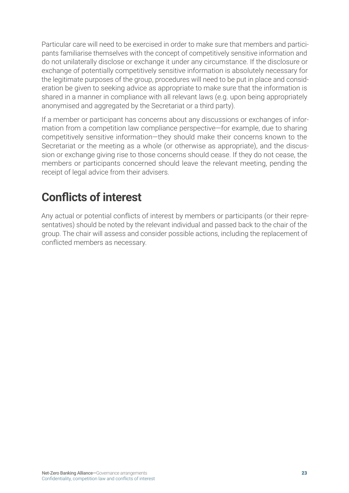<span id="page-22-0"></span>Particular care will need to be exercised in order to make sure that members and participants familiarise themselves with the concept of competitively sensitive information and do not unilaterally disclose or exchange it under any circumstance. If the disclosure or exchange of potentially competitively sensitive information is absolutely necessary for the legitimate purposes of the group, procedures will need to be put in place and consideration be given to seeking advice as appropriate to make sure that the information is shared in a manner in compliance with all relevant laws (e.g. upon being appropriately anonymised and aggregated by the Secretariat or a third party).

If a member or participant has concerns about any discussions or exchanges of information from a competition law compliance perspective—for example, due to sharing competitively sensitive information—they should make their concerns known to the Secretariat or the meeting as a whole (or otherwise as appropriate), and the discussion or exchange giving rise to those concerns should cease. If they do not cease, the members or participants concerned should leave the relevant meeting, pending the receipt of legal advice from their advisers.

#### **Conflicts of interest**

Any actual or potential conflicts of interest by members or participants (or their representatives) should be noted by the relevant individual and passed back to the chair of the group. The chair will assess and consider possible actions, including the replacement of conflicted members as necessary.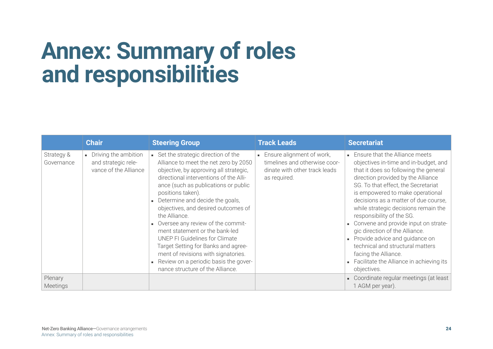### <span id="page-23-0"></span>**Annex: Summary of roles and responsibilities**

|                          | <b>Chair</b>                                                           | <b>Steering Group</b>                                                                                                                                                                                                                                                                                                                                                                                                                                                                                                                                                                           | <b>Track Leads</b>                                                                                          | <b>Secretariat</b>                                                                                                                                                                                                                                                                                                                                                                                                                                                                                                                                                                      |
|--------------------------|------------------------------------------------------------------------|-------------------------------------------------------------------------------------------------------------------------------------------------------------------------------------------------------------------------------------------------------------------------------------------------------------------------------------------------------------------------------------------------------------------------------------------------------------------------------------------------------------------------------------------------------------------------------------------------|-------------------------------------------------------------------------------------------------------------|-----------------------------------------------------------------------------------------------------------------------------------------------------------------------------------------------------------------------------------------------------------------------------------------------------------------------------------------------------------------------------------------------------------------------------------------------------------------------------------------------------------------------------------------------------------------------------------------|
| Strategy &<br>Governance | • Driving the ambition<br>and strategic rele-<br>vance of the Alliance | • Set the strategic direction of the<br>Alliance to meet the net zero by 2050<br>objective, by approving all strategic,<br>directional interventions of the Alli-<br>ance (such as publications or public<br>positions taken).<br>Determine and decide the goals,<br>objectives, and desired outcomes of<br>the Alliance.<br>• Oversee any review of the commit-<br>ment statement or the bank-led<br>UNEP FI Guidelines for Climate<br>Target Setting for Banks and agree-<br>ment of revisions with signatories.<br>Review on a periodic basis the gover-<br>nance structure of the Alliance. | Ensure alignment of work,<br>timelines and otherwise coor-<br>dinate with other track leads<br>as required. | • Ensure that the Alliance meets<br>objectives in-time and in-budget, and<br>that it does so following the general<br>direction provided by the Alliance<br>SG. To that effect, the Secretariat<br>is empowered to make operational<br>decisions as a matter of due course,<br>while strategic decisions remain the<br>responsibility of the SG.<br>- Convene and provide input on strate-<br>gic direction of the Alliance.<br>• Provide advice and guidance on<br>technical and structural matters<br>facing the Alliance.<br>Facilitate the Alliance in achieving its<br>objectives. |
| Plenary<br>Meetings      |                                                                        |                                                                                                                                                                                                                                                                                                                                                                                                                                                                                                                                                                                                 |                                                                                                             | • Coordinate regular meetings (at least<br>1 AGM per year).                                                                                                                                                                                                                                                                                                                                                                                                                                                                                                                             |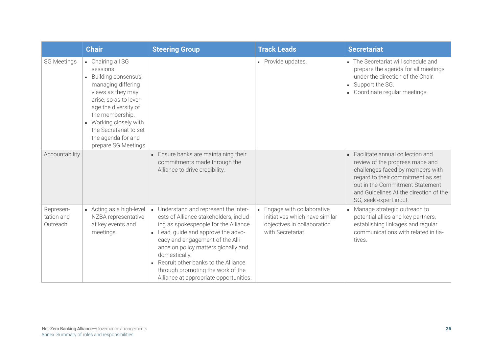|                                     | <b>Chair</b>                                                                                                                                                                                                                                                          | <b>Steering Group</b>                                                                                                                                                                                                                                                                                                                                                             | <b>Track Leads</b>                                                                                                | <b>Secretariat</b>                                                                                                                                                                                                                                  |
|-------------------------------------|-----------------------------------------------------------------------------------------------------------------------------------------------------------------------------------------------------------------------------------------------------------------------|-----------------------------------------------------------------------------------------------------------------------------------------------------------------------------------------------------------------------------------------------------------------------------------------------------------------------------------------------------------------------------------|-------------------------------------------------------------------------------------------------------------------|-----------------------------------------------------------------------------------------------------------------------------------------------------------------------------------------------------------------------------------------------------|
| <b>SG Meetings</b>                  | • Chairing all SG<br>sessions.<br>Building consensus,<br>managing differing<br>views as they may<br>arise, so as to lever-<br>age the diversity of<br>the membership.<br>Working closely with<br>the Secretariat to set<br>the agenda for and<br>prepare SG Meetings. |                                                                                                                                                                                                                                                                                                                                                                                   | • Provide updates.                                                                                                | The Secretariat will schedule and<br>prepare the agenda for all meetings<br>under the direction of the Chair.<br>• Support the SG.<br>Coordinate regular meetings.                                                                                  |
| Accountability                      |                                                                                                                                                                                                                                                                       | • Ensure banks are maintaining their<br>commitments made through the<br>Alliance to drive credibility.                                                                                                                                                                                                                                                                            |                                                                                                                   | Facilitate annual collection and<br>review of the progress made and<br>challenges faced by members with<br>regard to their commitment as set<br>out in the Commitment Statement<br>and Guidelines At the direction of the<br>SG, seek expert input. |
| Represen-<br>tation and<br>Outreach | Acting as a high-level<br>NZBA representative<br>at key events and<br>meetings.                                                                                                                                                                                       | - Understand and represent the inter-<br>ests of Alliance stakeholders, includ-<br>ing as spokespeople for the Alliance.<br>- Lead, guide and approve the advo-<br>cacy and engagement of the Alli-<br>ance on policy matters globally and<br>domestically.<br>Recruit other banks to the Alliance<br>through promoting the work of the<br>Alliance at appropriate opportunities. | - Engage with collaborative<br>initiatives which have similar<br>objectives in collaboration<br>with Secretariat. | • Manage strategic outreach to<br>potential allies and key partners,<br>establishing linkages and regular<br>communications with related initia-<br>tives.                                                                                          |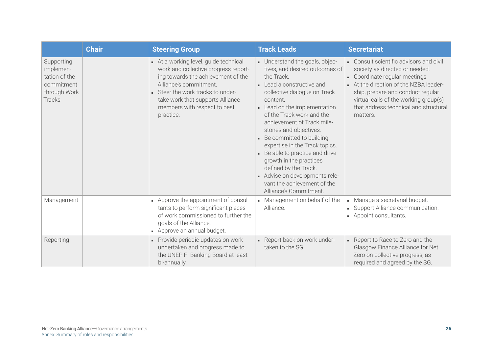|                                                                                         | <b>Chair</b> | <b>Steering Group</b>                                                                                                                                                                                                                                             | <b>Track Leads</b>                                                                                                                                                                                                                                                                                                                                                                                                                                                                                                       | <b>Secretariat</b>                                                                                                                                                                                                                                                                    |
|-----------------------------------------------------------------------------------------|--------------|-------------------------------------------------------------------------------------------------------------------------------------------------------------------------------------------------------------------------------------------------------------------|--------------------------------------------------------------------------------------------------------------------------------------------------------------------------------------------------------------------------------------------------------------------------------------------------------------------------------------------------------------------------------------------------------------------------------------------------------------------------------------------------------------------------|---------------------------------------------------------------------------------------------------------------------------------------------------------------------------------------------------------------------------------------------------------------------------------------|
| Supporting<br>implemen-<br>tation of the<br>commitment<br>through Work<br><b>Tracks</b> |              | - At a working level, guide technical<br>work and collective progress report-<br>ing towards the achievement of the<br>Alliance's commitment.<br>Steer the work tracks to under-<br>take work that supports Alliance<br>members with respect to best<br>practice. | - Understand the goals, objec-<br>tives, and desired outcomes of<br>the Track.<br>- Lead a constructive and<br>collective dialogue on Track<br>content.<br>- Lead on the implementation<br>of the Track work and the<br>achievement of Track mile-<br>stones and objectives.<br>Be committed to building<br>expertise in the Track topics.<br>Be able to practice and drive<br>growth in the practices<br>defined by the Track.<br>Advise on developments rele-<br>vant the achievement of the<br>Alliance's Commitment. | Consult scientific advisors and civil<br>society as directed or needed.<br>• Coordinate regular meetings<br>- At the direction of the NZBA leader-<br>ship, prepare and conduct regular<br>virtual calls of the working group(s)<br>that address technical and structural<br>matters. |
| Management                                                                              |              | - Approve the appointment of consul-<br>tants to perform significant pieces<br>of work commissioned to further the<br>goals of the Alliance.<br>- Approve an annual budget.                                                                                       | Management on behalf of the<br>Alliance.                                                                                                                                                                                                                                                                                                                                                                                                                                                                                 | Manage a secretarial budget.<br>• Support Alliance communication.<br>- Appoint consultants.                                                                                                                                                                                           |
| Reporting                                                                               |              | - Provide periodic updates on work<br>undertaken and progress made to<br>the UNEP FI Banking Board at least<br>bi-annually.                                                                                                                                       | Report back on work under-<br>taken to the SG.                                                                                                                                                                                                                                                                                                                                                                                                                                                                           | Report to Race to Zero and the<br>Glasgow Finance Alliance for Net<br>Zero on collective progress, as<br>required and agreed by the SG.                                                                                                                                               |